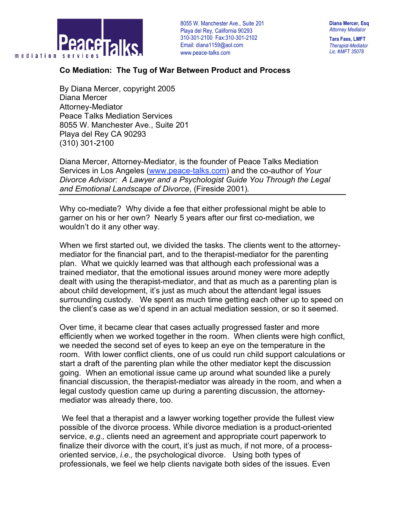

8055 W. Manchester Ave., Suite 201 . Playa del Rey, California 90293 310-301-2100 Fax:310-301-2102 Email: diana1159@aol.com www.peace-talks.com

**Diana Mercer, Esq** *Attorney Mediator*

**Tara Fass, LMFT** *Therapist-Mediator Lic. #MFT 35078*

## **Co Mediation: The Tug of War Between Product and Process**

By Diana Mercer, copyright 2005 Diana Mercer Attorney-Mediator Peace Talks Mediation Services 8055 W. Manchester Ave., Suite 201 Playa del Rey CA 90293 (310) 301-2100

Diana Mercer, Attorney-Mediator, is the founder of Peace Talks Mediation Services in Los Angeles (www.peace-talks.com) and the co-author of *Your Divorce Advisor: A Lawyer and a Psychologist Guide You Through the Legal and Emotional Landscape of Divorce*, (Fireside 2001)*.*

Why co-mediate? Why divide a fee that either professional might be able to garner on his or her own? Nearly 5 years after our first co-mediation, we wouldn't do it any other way.

When we first started out, we divided the tasks. The clients went to the attorneymediator for the financial part, and to the therapist-mediator for the parenting plan. What we quickly learned was that although each professional was a trained mediator, that the emotional issues around money were more adeptly dealt with using the therapist-mediator, and that as much as a parenting plan is about child development, it's just as much about the attendant legal issues surrounding custody. We spent as much time getting each other up to speed on the client's case as we'd spend in an actual mediation session, or so it seemed.

Over time, it became clear that cases actually progressed faster and more efficiently when we worked together in the room. When clients were high conflict, we needed the second set of eyes to keep an eye on the temperature in the room. With lower conflict clients, one of us could run child support calculations or start a draft of the parenting plan while the other mediator kept the discussion going. When an emotional issue came up around what sounded like a purely financial discussion, the therapist-mediator was already in the room, and when a legal custody question came up during a parenting discussion, the attorneymediator was already there, too.

We feel that a therapist and a lawyer working together provide the fullest view possible of the divorce process. While divorce mediation is a product-oriented service, *e.g.,* clients need an agreement and appropriate court paperwork to finalize their divorce with the court, it's just as much, if not more, of a processoriented service, *i.e.,* the psychological divorce. Using both types of professionals, we feel we help clients navigate both sides of the issues. Even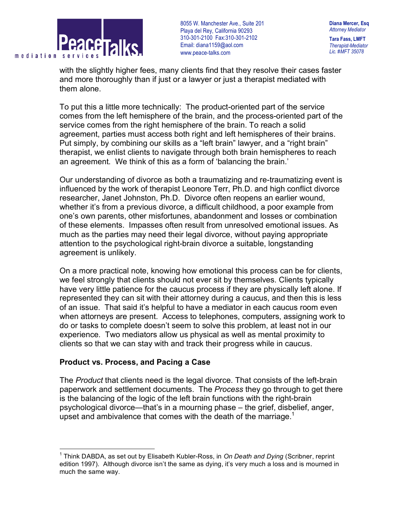

8055 W. Manchester Ave., Suite 201 . Playa del Rey, California 90293 310-301-2100 Fax:310-301-2102 Email: diana1159@aol.com www.peace-talks.com

**Diana Mercer, Esq** *Attorney Mediator* **Tara Fass, LMFT**

*Therapist-Mediator Lic. #MFT 35078*

with the slightly higher fees, many clients find that they resolve their cases faster and more thoroughly than if just or a lawyer or just a therapist mediated with them alone.

To put this a little more technically: The product-oriented part of the service comes from the left hemisphere of the brain, and the process-oriented part of the service comes from the right hemisphere of the brain. To reach a solid agreement, parties must access both right and left hemispheres of their brains. Put simply, by combining our skills as a "left brain" lawyer, and a "right brain" therapist, we enlist clients to navigate through both brain hemispheres to reach an agreement. We think of this as a form of 'balancing the brain.'

Our understanding of divorce as both a traumatizing and re-traumatizing event is influenced by the work of therapist Leonore Terr, Ph.D. and high conflict divorce researcher, Janet Johnston, Ph.D. Divorce often reopens an earlier wound, whether it's from a previous divorce, a difficult childhood, a poor example from one's own parents, other misfortunes, abandonment and losses or combination of these elements. Impasses often result from unresolved emotional issues. As much as the parties may need their legal divorce, without paying appropriate attention to the psychological right-brain divorce a suitable, longstanding agreement is unlikely.

On a more practical note, knowing how emotional this process can be for clients, we feel strongly that clients should not ever sit by themselves. Clients typically have very little patience for the caucus process if they are physically left alone. If represented they can sit with their attorney during a caucus, and then this is less of an issue. That said it's helpful to have a mediator in each caucus room even when attorneys are present. Access to telephones, computers, assigning work to do or tasks to complete doesn't seem to solve this problem, at least not in our experience. Two mediators allow us physical as well as mental proximity to clients so that we can stay with and track their progress while in caucus.

## **Product vs. Process, and Pacing a Case**

The *Product* that clients need is the legal divorce. That consists of the left-brain paperwork and settlement documents. The *Process* they go through to get there is the balancing of the logic of the left brain functions with the right-brain psychological divorce—that's in a mourning phase – the grief, disbelief, anger, upset and ambivalence that comes with the death of the marriage.<sup>1</sup>

 <sup>1</sup> Think DABDA, as set out by Elisabeth Kubler-Ross, in *On Death and Dying* (Scribner, reprint edition 1997). Although divorce isn't the same as dying, it's very much a loss and is mourned in much the same way.